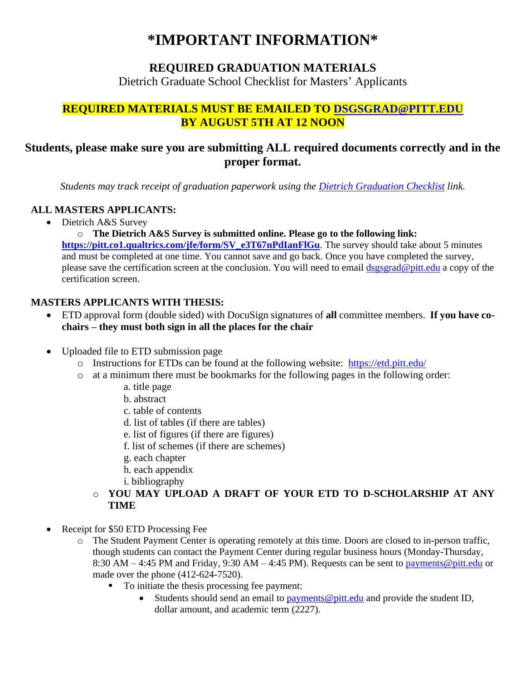# **\*IMPORTANT INFORMATION\***

#### **REQUIRED GRADUATION MATERIALS**

Dietrich Graduate School Checklist for Masters' Applicants

## **REQUIRED MATERIALS MUST BE EMAILED TO [DSGSGRAD@PITT.EDU](mailto:DSGSGRAD@PITT.EDU) BY AUGUST 5TH AT 12 NOON**

## **Students, please make sure you are submitting ALL required documents correctly and in the proper format.**

*Students may track receipt of graduation paperwork using the [Dietrich Graduation Checklist](https://apps.powerapps.com/play/340eb20e-54fb-40a5-a010-fbd5208cbb19?tenantId=9ef9f489-e0a0-4eeb-87cc-3a526112fd0d&source=portal&screenColor=RGBA%280%2c176%2c240%2c1%29) link.*

#### **ALL MASTERS APPLICANTS:**

• Dietrich A&S Survey

o **The Dietrich A&S Survey is submitted online. Please go to the following link: [https://pitt.co1.qualtrics.com/jfe/form/SV\\_e3T67nPdIanFlGu](https://pitt.co1.qualtrics.com/jfe/form/SV_e3T67nPdIanFlGu)**. The survey should take about 5 minutes and must be completed at one time. You cannot save and go back. Once you have completed the survey, please save the certification screen at the conclusion. You will need to email [dsgsgrad@pitt.edu](mailto:DSGSGRAD@PITT.EDU) a copy of the certification screen.

#### **MASTERS APPLICANTS WITH THESIS:**

- ETD approval form (double sided) with DocuSign signatures of **all** committee members. **If you have cochairs – they must both sign in all the places for the chair**
- Uploaded file to ETD submission page
	- o Instructions for ETDs can be found at the following website: <https://etd.pitt.edu/>
	- o at a minimum there must be bookmarks for the following pages in the following order:
		- a. title page
		- b. abstract
		- c. table of contents
		- d. list of tables (if there are tables)
		- e. list of figures (if there are figures)
		- f. list of schemes (if there are schemes)
		- g. each chapter
		- h. each appendix
		- i. bibliography
		- o **YOU MAY UPLOAD A DRAFT OF YOUR ETD TO D-SCHOLARSHIP AT ANY TIME**
- Receipt for \$50 ETD Processing Fee
	- o The Student Payment Center is operating remotely at this time. Doors are closed to in-person traffic, though students can contact the Payment Center during regular business hours (Monday-Thursday, 8:30 AM – 4:45 PM and Friday, 9:30 AM – 4:45 PM). Requests can be sent to [payments@pitt.edu](mailto:payments@pitt.edu) or made over the phone (412-624-7520).
		- To initiate the thesis processing fee payment:
			- Students should send an email to  $\frac{payment}{q}$  pitt.edu and provide the student ID, dollar amount, and academic term (2227).